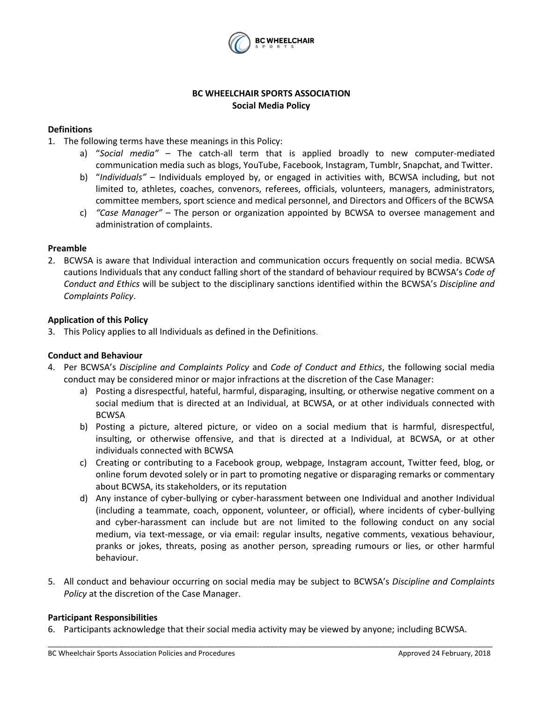

## **BC WHEELCHAIR SPORTS ASSOCIATION Social Media Policy**

## **Definitions**

- 1. The following terms have these meanings in this Policy:
	- a) "*Social media"* The catch-all term that is applied broadly to new computer-mediated communication media such as blogs, YouTube, Facebook, Instagram, Tumblr, Snapchat, and Twitter.
	- b) "*Individuals"* Individuals employed by, or engaged in activities with, BCWSA including, but not limited to, athletes, coaches, convenors, referees, officials, volunteers, managers, administrators, committee members, sport science and medical personnel, and Directors and Officers of the BCWSA
	- c) *"Case Manager" –* The person or organization appointed by BCWSA to oversee management and administration of complaints.

## **Preamble**

2. BCWSA is aware that Individual interaction and communication occurs frequently on social media. BCWSA cautions Individuals that any conduct falling short of the standard of behaviour required by BCWSA's *Code of Conduct and Ethics* will be subject to the disciplinary sanctions identified within the BCWSA's *Discipline and Complaints Policy*.

### **Application of this Policy**

3. This Policy applies to all Individuals as defined in the Definitions.

# **Conduct and Behaviour**

- 4. Per BCWSA's *Discipline and Complaints Policy* and *Code of Conduct and Ethics*, the following social media conduct may be considered minor or major infractions at the discretion of the Case Manager:
	- a) Posting a disrespectful, hateful, harmful, disparaging, insulting, or otherwise negative comment on a social medium that is directed at an Individual, at BCWSA, or at other individuals connected with BCWSA
	- b) Posting a picture, altered picture, or video on a social medium that is harmful, disrespectful, insulting, or otherwise offensive, and that is directed at a Individual, at BCWSA, or at other individuals connected with BCWSA
	- c) Creating or contributing to a Facebook group, webpage, Instagram account, Twitter feed, blog, or online forum devoted solely or in part to promoting negative or disparaging remarks or commentary about BCWSA, its stakeholders, or its reputation
	- d) Any instance of cyber-bullying or cyber-harassment between one Individual and another Individual (including a teammate, coach, opponent, volunteer, or official), where incidents of cyber-bullying and cyber-harassment can include but are not limited to the following conduct on any social medium, via text-message, or via email: regular insults, negative comments, vexatious behaviour, pranks or jokes, threats, posing as another person, spreading rumours or lies, or other harmful behaviour.
- 5. All conduct and behaviour occurring on social media may be subject to BCWSA's *Discipline and Complaints Policy* at the discretion of the Case Manager.

\_\_\_\_\_\_\_\_\_\_\_\_\_\_\_\_\_\_\_\_\_\_\_\_\_\_\_\_\_\_\_\_\_\_\_\_\_\_\_\_\_\_\_\_\_\_\_\_\_\_\_\_\_\_\_\_\_\_\_\_\_\_\_\_\_\_\_\_\_\_\_\_\_\_\_\_\_\_\_\_\_\_\_\_\_\_\_\_\_\_\_\_\_\_\_\_\_\_\_\_\_\_\_\_\_\_\_\_\_\_\_\_

### **Participant Responsibilities**

6. Participants acknowledge that their social media activity may be viewed by anyone; including BCWSA.